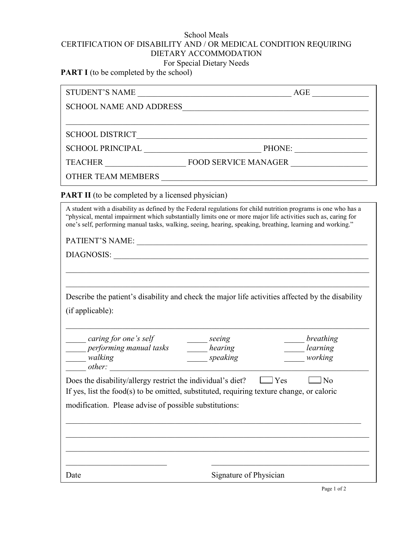## School Meals CERTIFICATION OF DISABILITY AND / OR MEDICAL CONDITION REQUIRING DIETARY ACCOMMODATION For Special Dietary Needs

**PART I** (to be completed by the school)

| <b>PART II</b> (to be completed by a licensed physician)                                                                                                                                                                                                                                                                                       |                                                              |                                  |
|------------------------------------------------------------------------------------------------------------------------------------------------------------------------------------------------------------------------------------------------------------------------------------------------------------------------------------------------|--------------------------------------------------------------|----------------------------------|
| A student with a disability as defined by the Federal regulations for child nutrition programs is one who has a<br>"physical, mental impairment which substantially limits one or more major life activities such as, caring for<br>one's self, performing manual tasks, walking, seeing, hearing, speaking, breathing, learning and working." |                                                              |                                  |
|                                                                                                                                                                                                                                                                                                                                                |                                                              |                                  |
|                                                                                                                                                                                                                                                                                                                                                |                                                              |                                  |
|                                                                                                                                                                                                                                                                                                                                                |                                                              |                                  |
|                                                                                                                                                                                                                                                                                                                                                |                                                              |                                  |
| Describe the patient's disability and check the major life activities affected by the disability                                                                                                                                                                                                                                               |                                                              |                                  |
| (if applicable):                                                                                                                                                                                                                                                                                                                               |                                                              |                                  |
| caring for one's self<br><i>erforming manual tasks</i> bearing<br><i><u>malking</u></i>                                                                                                                                                                                                                                                        | $\rule{1em}{0.15mm}$ seeing<br>$\rule{1em}{0.15mm}$ speaking | breathing<br>learning<br>working |
| $\frac{1}{\text{other:}}$                                                                                                                                                                                                                                                                                                                      |                                                              |                                  |
| Does the disability/allergy restrict the individual's diet?<br>$\Box$ No<br>l Yes                                                                                                                                                                                                                                                              |                                                              |                                  |
| If yes, list the food(s) to be omitted, substituted, requiring texture change, or caloric                                                                                                                                                                                                                                                      |                                                              |                                  |
| modification. Please advise of possible substitutions:                                                                                                                                                                                                                                                                                         |                                                              |                                  |
|                                                                                                                                                                                                                                                                                                                                                |                                                              |                                  |
|                                                                                                                                                                                                                                                                                                                                                |                                                              |                                  |
|                                                                                                                                                                                                                                                                                                                                                |                                                              |                                  |
| Date                                                                                                                                                                                                                                                                                                                                           | Signature of Physician                                       |                                  |